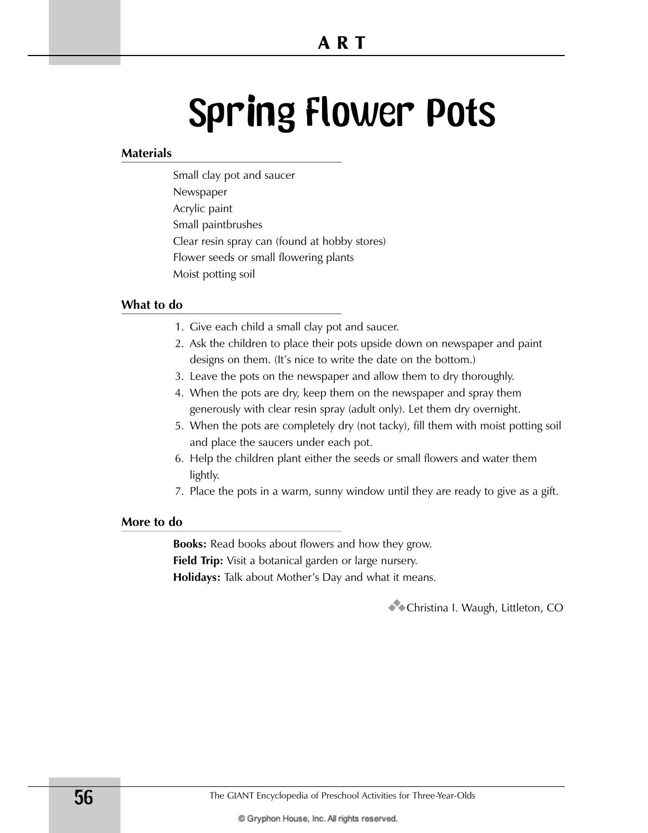# Spring Flower Pots

### **Materials**

Small clay pot and saucer Newspaper Acrylic paint Small paintbrushes Clear resin spray can (found at hobby stores) Flower seeds or small flowering plants Moist potting soil

### **What to do**

- 1. Give each child a small clay pot and saucer.
- 2. Ask the children to place their pots upside down on newspaper and paint designs on them. (It's nice to write the date on the bottom.)
- 3. Leave the pots on the newspaper and allow them to dry thoroughly.
- 4. When the pots are dry, keep them on the newspaper and spray them generously with clear resin spray (adult only). Let them dry overnight.
- 5. When the pots are completely dry (not tacky), fill them with moist potting soil and place the saucers under each pot.
- 6. Help the children plant either the seeds or small flowers and water them lightly.
- 7. Place the pots in a warm, sunny window until they are ready to give as a gift.

### **More to do**

**Books:** Read books about flowers and how they grow. **Field Trip:** Visit a botanical garden or large nursery. **Holidays:** Talk about Mother's Day and what it means.

**3**Christina I. Waugh, Littleton, CO